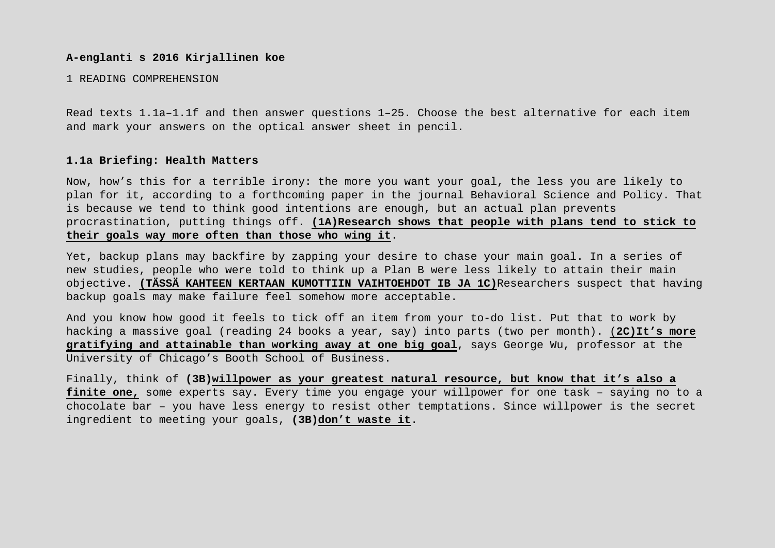### **A-englanti s 2016 Kirjallinen koe**

### 1 READING COMPREHENSION

Read texts 1.1a–1.1f and then answer questions 1–25. Choose the best alternative for each item and mark your answers on the optical answer sheet in pencil.

#### **1.1a Briefing: Health Matters**

Now, how's this for a terrible irony: the more you want your goal, the less you are likely to plan for it, according to a forthcoming paper in the journal Behavioral Science and Policy. That is because we tend to think good intentions are enough, but an actual plan prevents procrastination, putting things off. **(1A)Research shows that people with plans tend to stick to their goals way more often than those who wing it**.

Yet, backup plans may backfire by zapping your desire to chase your main goal. In a series of new studies, people who were told to think up a Plan B were less likely to attain their main objective. **(TÄSSÄ KAHTEEN KERTAAN KUMOTTIIN VAIHTOEHDOT IB JA 1C)**Researchers suspect that having backup goals may make failure feel somehow more acceptable.

And you know how good it feels to tick off an item from your to-do list. Put that to work by hacking a massive goal (reading 24 books a year, say) into parts (two per month). (**2C)It's more gratifying and attainable than working away at one big goal**, says George Wu, professor at the University of Chicago's Booth School of Business.

Finally, think of **(3B)willpower as your greatest natural resource, but know that it's also a finite one,** some experts say. Every time you engage your willpower for one task – saying no to a chocolate bar – you have less energy to resist other temptations. Since willpower is the secret ingredient to meeting your goals, **(3B)don't waste it**.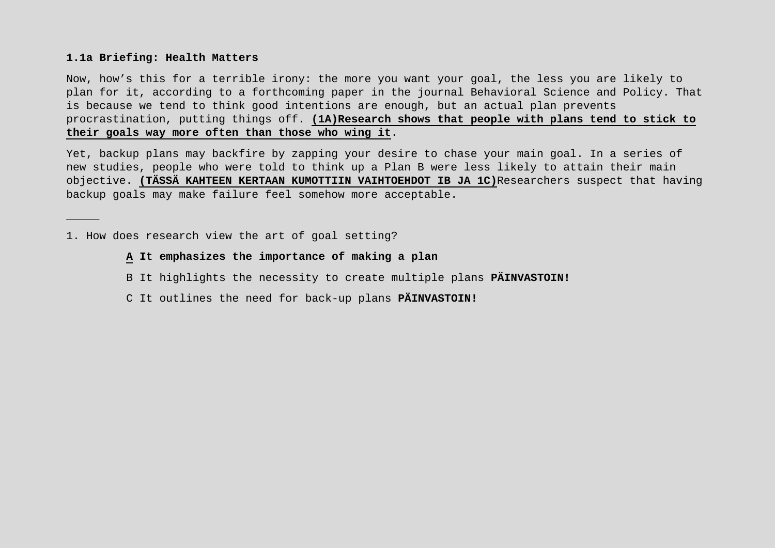## **1.1a Briefing: Health Matters**

\_\_\_\_\_

Now, how's this for a terrible irony: the more you want your goal, the less you are likely to plan for it, according to a forthcoming paper in the journal Behavioral Science and Policy. That is because we tend to think good intentions are enough, but an actual plan prevents procrastination, putting things off. **(1A)Research shows that people with plans tend to stick to their goals way more often than those who wing it**.

Yet, backup plans may backfire by zapping your desire to chase your main goal. In a series of new studies, people who were told to think up a Plan B were less likely to attain their main objective. **(TÄSSÄ KAHTEEN KERTAAN KUMOTTIIN VAIHTOEHDOT IB JA 1C)**Researchers suspect that having backup goals may make failure feel somehow more acceptable.

1. How does research view the art of goal setting?

**A It emphasizes the importance of making a plan**

- B It highlights the necessity to create multiple plans **PÄINVASTOIN!**
- C It outlines the need for back-up plans **PÄINVASTOIN!**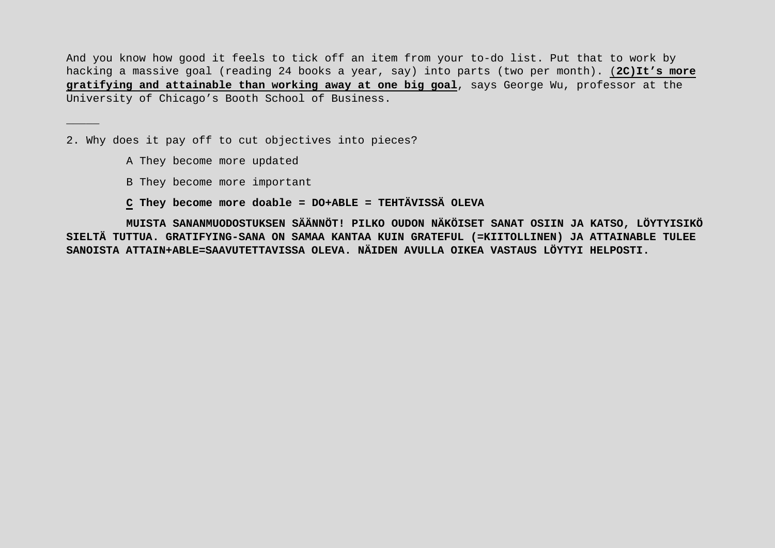And you know how good it feels to tick off an item from your to-do list. Put that to work by hacking a massive goal (reading 24 books a year, say) into parts (two per month). (**2C)It's more gratifying and attainable than working away at one big goal**, says George Wu, professor at the University of Chicago's Booth School of Business.

2. Why does it pay off to cut objectives into pieces?

A They become more updated

\_\_\_\_\_

B They become more important

**C They become more doable = DO+ABLE = TEHTÄVISSÄ OLEVA**

**MUISTA SANANMUODOSTUKSEN SÄÄNNÖT! PILKO OUDON NÄKÖISET SANAT OSIIN JA KATSO, LÖYTYISIKÖ SIELTÄ TUTTUA. GRATIFYING-SANA ON SAMAA KANTAA KUIN GRATEFUL (=KIITOLLINEN) JA ATTAINABLE TULEE SANOISTA ATTAIN+ABLE=SAAVUTETTAVISSA OLEVA. NÄIDEN AVULLA OIKEA VASTAUS LÖYTYI HELPOSTI.**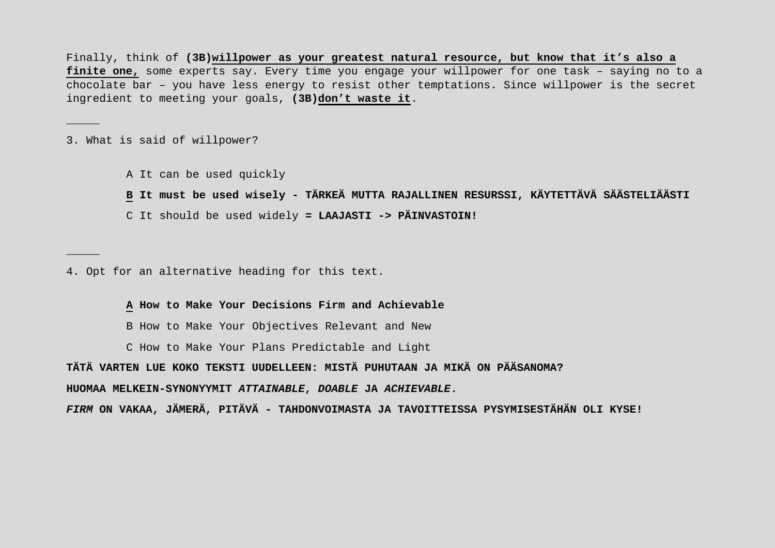Finally, think of **(3B)willpower as your greatest natural resource, but know that it's also a finite one,** some experts say. Every time you engage your willpower for one task – saying no to a chocolate bar – you have less energy to resist other temptations. Since willpower is the secret ingredient to meeting your goals, **(3B)don't waste it**.

3. What is said of willpower?

\_\_\_\_\_

\_\_\_\_\_

A It can be used quickly

**B It must be used wisely - TÄRKEÄ MUTTA RAJALLINEN RESURSSI, KÄYTETTÄVÄ SÄÄSTELIÄÄSTI**

C It should be used widely **= LAAJASTI -> PÄINVASTOIN!**

4. Opt for an alternative heading for this text.

**A How to Make Your Decisions Firm and Achievable**

B How to Make Your Objectives Relevant and New

C How to Make Your Plans Predictable and Light

**TÄTÄ VARTEN LUE KOKO TEKSTI UUDELLEEN: MISTÄ PUHUTAAN JA MIKÄ ON PÄÄSANOMA?**

**HUOMAA MELKEIN-SYNONYYMIT** *ATTAINABLE***,** *DOABLE* **JA** *ACHIEVABLE***.**

*FIRM* **ON VAKAA, JÄMERÄ, PITÄVÄ - TAHDONVOIMASTA JA TAVOITTEISSA PYSYMISESTÄHÄN OLI KYSE!**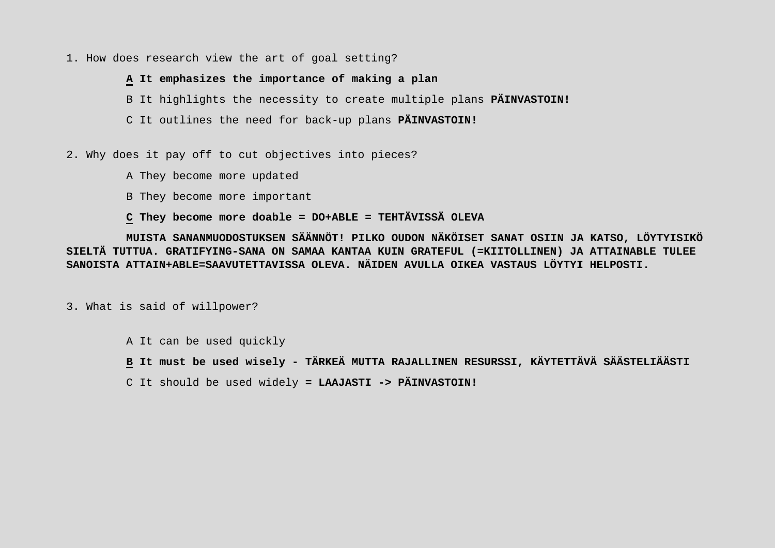## 1. How does research view the art of goal setting?

## **A It emphasizes the importance of making a plan**

B It highlights the necessity to create multiple plans **PÄINVASTOIN!**

C It outlines the need for back-up plans **PÄINVASTOIN!**

2. Why does it pay off to cut objectives into pieces?

A They become more updated

B They become more important

# **C They become more doable = DO+ABLE = TEHTÄVISSÄ OLEVA**

**MUISTA SANANMUODOSTUKSEN SÄÄNNÖT! PILKO OUDON NÄKÖISET SANAT OSIIN JA KATSO, LÖYTYISIKÖ SIELTÄ TUTTUA. GRATIFYING-SANA ON SAMAA KANTAA KUIN GRATEFUL (=KIITOLLINEN) JA ATTAINABLE TULEE SANOISTA ATTAIN+ABLE=SAAVUTETTAVISSA OLEVA. NÄIDEN AVULLA OIKEA VASTAUS LÖYTYI HELPOSTI.**

3. What is said of willpower?

A It can be used quickly

**B It must be used wisely - TÄRKEÄ MUTTA RAJALLINEN RESURSSI, KÄYTETTÄVÄ SÄÄSTELIÄÄSTI**

C It should be used widely **= LAAJASTI -> PÄINVASTOIN!**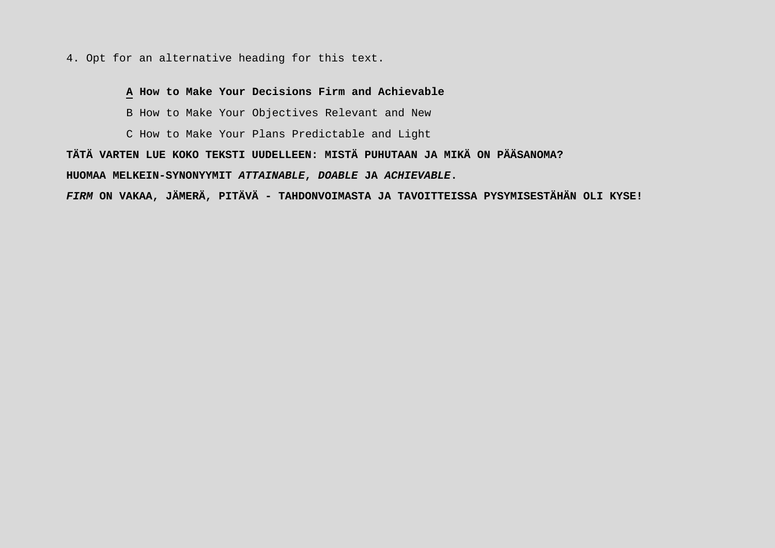4. Opt for an alternative heading for this text.

# **A How to Make Your Decisions Firm and Achievable**

B How to Make Your Objectives Relevant and New

C How to Make Your Plans Predictable and Light

**TÄTÄ VARTEN LUE KOKO TEKSTI UUDELLEEN: MISTÄ PUHUTAAN JA MIKÄ ON PÄÄSANOMA?**

**HUOMAA MELKEIN-SYNONYYMIT** *ATTAINABLE***,** *DOABLE* **JA** *ACHIEVABLE***.**

*FIRM* **ON VAKAA, JÄMERÄ, PITÄVÄ - TAHDONVOIMASTA JA TAVOITTEISSA PYSYMISESTÄHÄN OLI KYSE!**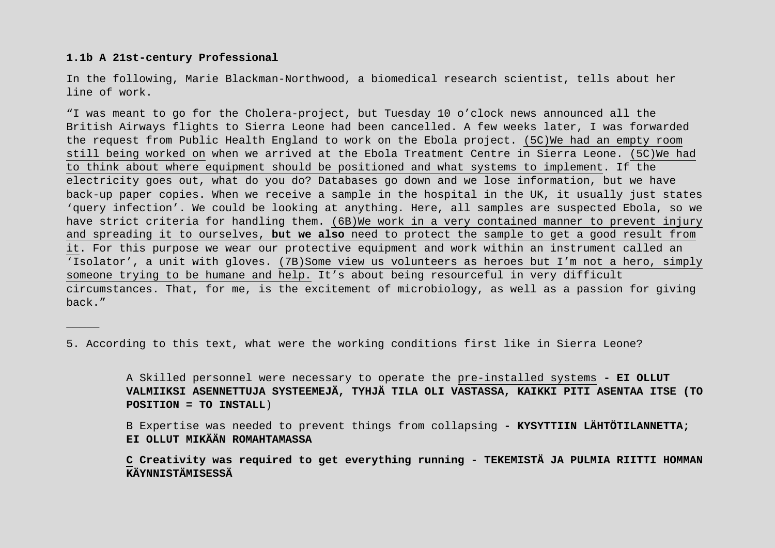### **1.1b A 21st-century Professional**

\_\_\_\_\_

In the following, Marie Blackman-Northwood, a biomedical research scientist, tells about her line of work.

"I was meant to go for the Cholera-project, but Tuesday 10 o'clock news announced all the British Airways flights to Sierra Leone had been cancelled. A few weeks later, I was forwarded the request from Public Health England to work on the Ebola project. (5C)We had an empty room still being worked on when we arrived at the Ebola Treatment Centre in Sierra Leone. (5C)We had to think about where equipment should be positioned and what systems to implement. If the electricity goes out, what do you do? Databases go down and we lose information, but we have back-up paper copies. When we receive a sample in the hospital in the UK, it usually just states 'query infection'. We could be looking at anything. Here, all samples are suspected Ebola, so we have strict criteria for handling them. (6B)We work in a very contained manner to prevent injury and spreading it to ourselves, **but we also** need to protect the sample to get a good result from it. For this purpose we wear our protective equipment and work within an instrument called an 'Isolator', a unit with gloves. (7B)Some view us volunteers as heroes but I'm not a hero, simply someone trying to be humane and help. It's about being resourceful in very difficult circumstances. That, for me, is the excitement of microbiology, as well as a passion for giving back."

5. According to this text, what were the working conditions first like in Sierra Leone?

A Skilled personnel were necessary to operate the pre-installed systems **- EI OLLUT VALMIIKSI ASENNETTUJA SYSTEEMEJÄ, TYHJÄ TILA OLI VASTASSA, KAIKKI PITI ASENTAA ITSE (TO POSITION = TO INSTALL**)

B Expertise was needed to prevent things from collapsing **- KYSYTTIIN LÄHTÖTILANNETTA; EI OLLUT MIKÄÄN ROMAHTAMASSA** 

**C Creativity was required to get everything running - TEKEMISTÄ JA PULMIA RIITTI HOMMAN KÄYNNISTÄMISESSÄ**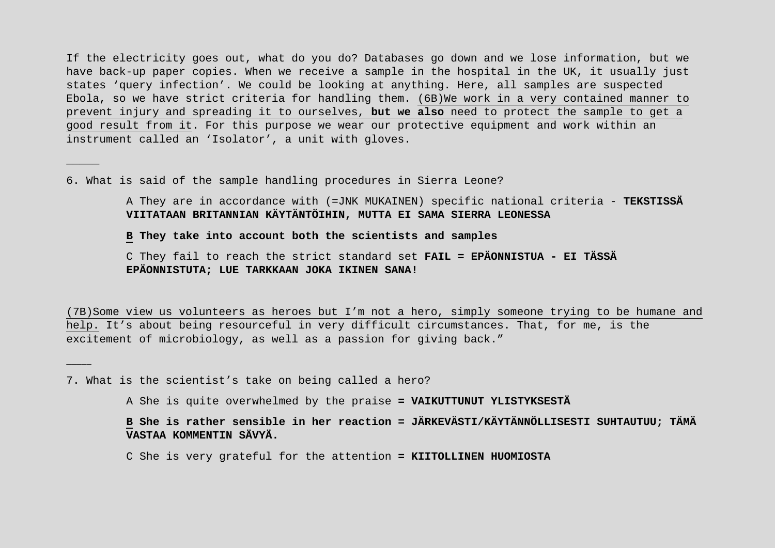If the electricity goes out, what do you do? Databases go down and we lose information, but we have back-up paper copies. When we receive a sample in the hospital in the UK, it usually just states 'query infection'. We could be looking at anything. Here, all samples are suspected Ebola, so we have strict criteria for handling them. (6B)We work in a very contained manner to prevent injury and spreading it to ourselves, **but we also** need to protect the sample to get a good result from it. For this purpose we wear our protective equipment and work within an instrument called an 'Isolator', a unit with gloves.

6. What is said of the sample handling procedures in Sierra Leone?

\_\_\_\_\_

\_\_\_\_\_

A They are in accordance with (=JNK MUKAINEN) specific national criteria - **TEKSTISSÄ VIITATAAN BRITANNIAN KÄYTÄNTÖIHIN, MUTTA EI SAMA SIERRA LEONESSA**

**B They take into account both the scientists and samples**

C They fail to reach the strict standard set **FAIL = EPÄONNISTUA - EI TÄSSÄ EPÄONNISTUTA; LUE TARKKAAN JOKA IKINEN SANA!**

(7B)Some view us volunteers as heroes but I'm not a hero, simply someone trying to be humane and help. It's about being resourceful in very difficult circumstances. That, for me, is the excitement of microbiology, as well as a passion for giving back."

7. What is the scientist's take on being called a hero?

A She is quite overwhelmed by the praise **= VAIKUTTUNUT YLISTYKSESTÄ**

**B She is rather sensible in her reaction = JÄRKEVÄSTI/KÄYTÄNNÖLLISESTI SUHTAUTUU; TÄMÄ VASTAA KOMMENTIN SÄVYÄ.**

C She is very grateful for the attention **= KIITOLLINEN HUOMIOSTA**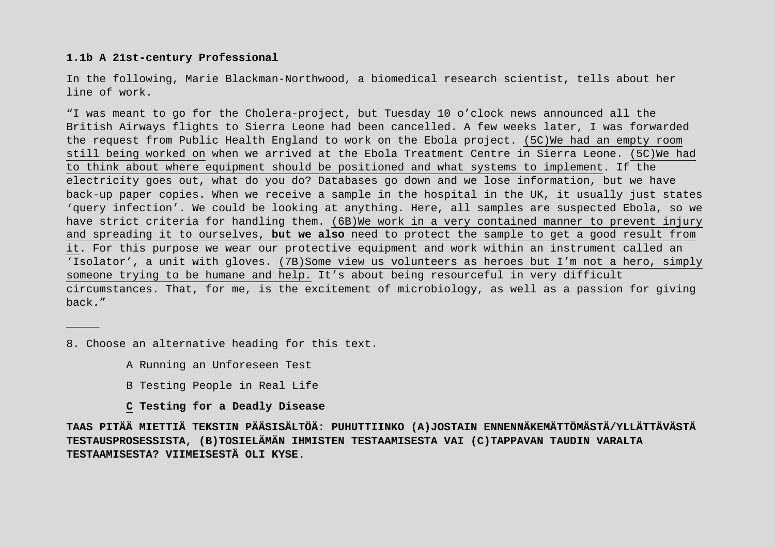## **1.1b A 21st-century Professional**

In the following, Marie Blackman-Northwood, a biomedical research scientist, tells about her line of work.

"I was meant to go for the Cholera-project, but Tuesday 10 o'clock news announced all the British Airways flights to Sierra Leone had been cancelled. A few weeks later, I was forwarded the request from Public Health England to work on the Ebola project. (5C)We had an empty room still being worked on when we arrived at the Ebola Treatment Centre in Sierra Leone. (5C)We had to think about where equipment should be positioned and what systems to implement. If the electricity goes out, what do you do? Databases go down and we lose information, but we have back-up paper copies. When we receive a sample in the hospital in the UK, it usually just states 'query infection'. We could be looking at anything. Here, all samples are suspected Ebola, so we have strict criteria for handling them. (6B)We work in a very contained manner to prevent injury and spreading it to ourselves, **but we also** need to protect the sample to get a good result from it. For this purpose we wear our protective equipment and work within an instrument called an 'Isolator', a unit with gloves. (7B)Some view us volunteers as heroes but I'm not a hero, simply someone trying to be humane and help. It's about being resourceful in very difficult circumstances. That, for me, is the excitement of microbiology, as well as a passion for giving back."

8. Choose an alternative heading for this text.

\_\_\_\_\_

- A Running an Unforeseen Test
- B Testing People in Real Life
- **C Testing for a Deadly Disease**

**TAAS PITÄÄ MIETTIÄ TEKSTIN PÄÄSISÄLTÖÄ: PUHUTTIINKO (A)JOSTAIN ENNENNÄKEMÄTTÖMÄSTÄ/YLLÄTTÄVÄSTÄ TESTAUSPROSESSISTA, (B)TOSIELÄMÄN IHMISTEN TESTAAMISESTA VAI (C)TAPPAVAN TAUDIN VARALTA TESTAAMISESTA? VIIMEISESTÄ OLI KYSE.**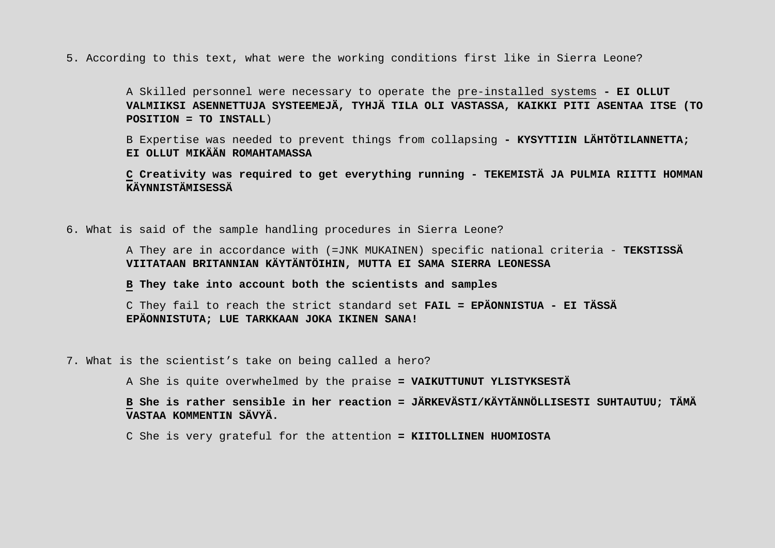5. According to this text, what were the working conditions first like in Sierra Leone?

A Skilled personnel were necessary to operate the pre-installed systems **- EI OLLUT VALMIIKSI ASENNETTUJA SYSTEEMEJÄ, TYHJÄ TILA OLI VASTASSA, KAIKKI PITI ASENTAA ITSE (TO POSITION = TO INSTALL**)

B Expertise was needed to prevent things from collapsing **- KYSYTTIIN LÄHTÖTILANNETTA; EI OLLUT MIKÄÄN ROMAHTAMASSA** 

**C Creativity was required to get everything running - TEKEMISTÄ JA PULMIA RIITTI HOMMAN KÄYNNISTÄMISESSÄ**

6. What is said of the sample handling procedures in Sierra Leone?

A They are in accordance with (=JNK MUKAINEN) specific national criteria - **TEKSTISSÄ VIITATAAN BRITANNIAN KÄYTÄNTÖIHIN, MUTTA EI SAMA SIERRA LEONESSA**

**B They take into account both the scientists and samples**

C They fail to reach the strict standard set **FAIL = EPÄONNISTUA - EI TÄSSÄ EPÄONNISTUTA; LUE TARKKAAN JOKA IKINEN SANA!**

7. What is the scientist's take on being called a hero?

A She is quite overwhelmed by the praise **= VAIKUTTUNUT YLISTYKSESTÄ**

**B She is rather sensible in her reaction = JÄRKEVÄSTI/KÄYTÄNNÖLLISESTI SUHTAUTUU; TÄMÄ VASTAA KOMMENTIN SÄVYÄ.**

C She is very grateful for the attention **= KIITOLLINEN HUOMIOSTA**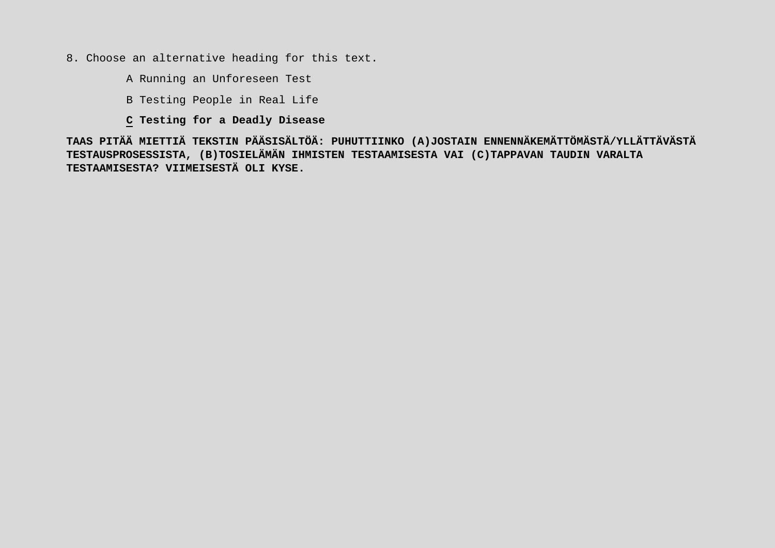- 8. Choose an alternative heading for this text.
	- A Running an Unforeseen Test
	- B Testing People in Real Life
	- **C Testing for a Deadly Disease**

**TAAS PITÄÄ MIETTIÄ TEKSTIN PÄÄSISÄLTÖÄ: PUHUTTIINKO (A)JOSTAIN ENNENNÄKEMÄTTÖMÄSTÄ/YLLÄTTÄVÄSTÄ TESTAUSPROSESSISTA, (B)TOSIELÄMÄN IHMISTEN TESTAAMISESTA VAI (C)TAPPAVAN TAUDIN VARALTA TESTAAMISESTA? VIIMEISESTÄ OLI KYSE.**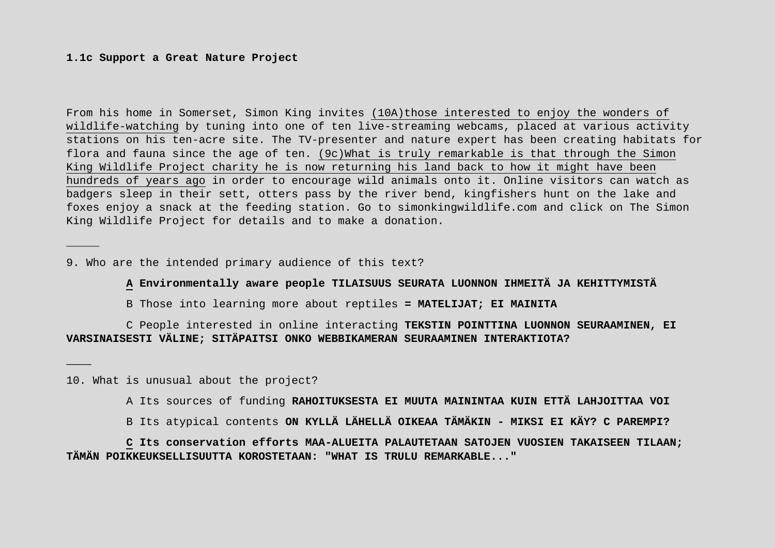### **1.1c Support a Great Nature Project**

\_\_\_\_\_

\_\_\_\_\_

From his home in Somerset, Simon King invites (10A)those interested to enjoy the wonders of wildlife-watching by tuning into one of ten live-streaming webcams, placed at various activity stations on his ten-acre site. The TV-presenter and nature expert has been creating habitats for flora and fauna since the age of ten. (9c)What is truly remarkable is that through the Simon King Wildlife Project charity he is now returning his land back to how it might have been hundreds of years ago in order to encourage wild animals onto it. Online visitors can watch as badgers sleep in their sett, otters pass by the river bend, kingfishers hunt on the lake and foxes enjoy a snack at the feeding station. Go to simonkingwildlife.com and click on The Simon King Wildlife Project for details and to make a donation.

9. Who are the intended primary audience of this text?

**A Environmentally aware people TILAISUUS SEURATA LUONNON IHMEITÄ JA KEHITTYMISTÄ**

B Those into learning more about reptiles **= MATELIJAT; EI MAINITA**

C People interested in online interacting **TEKSTIN POINTTINA LUONNON SEURAAMINEN, EI VARSINAISESTI VÄLINE; SITÄPAITSI ONKO WEBBIKAMERAN SEURAAMINEN INTERAKTIOTA?**

10. What is unusual about the project?

A Its sources of funding **RAHOITUKSESTA EI MUUTA MAININTAA KUIN ETTÄ LAHJOITTAA VOI**

B Its atypical contents **ON KYLLÄ LÄHELLÄ OIKEAA TÄMÄKIN - MIKSI EI KÄY? C PAREMPI?**

**C Its conservation efforts MAA-ALUEITA PALAUTETAAN SATOJEN VUOSIEN TAKAISEEN TILAAN; TÄMÄN POIKKEUKSELLISUUTTA KOROSTETAAN: "WHAT IS TRULU REMARKABLE..."**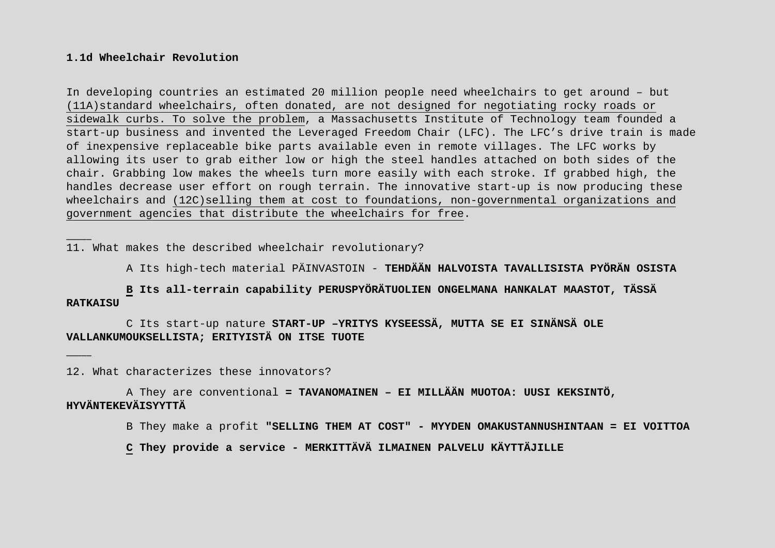### **1.1d Wheelchair Revolution**

\_\_\_\_\_

\_\_\_\_\_

In developing countries an estimated 20 million people need wheelchairs to get around – but (11A)standard wheelchairs, often donated, are not designed for negotiating rocky roads or sidewalk curbs. To solve the problem, a Massachusetts Institute of Technology team founded a start-up business and invented the Leveraged Freedom Chair (LFC). The LFC's drive train is made of inexpensive replaceable bike parts available even in remote villages. The LFC works by allowing its user to grab either low or high the steel handles attached on both sides of the chair. Grabbing low makes the wheels turn more easily with each stroke. If grabbed high, the handles decrease user effort on rough terrain. The innovative start-up is now producing these wheelchairs and (12C)selling them at cost to foundations, non-governmental organizations and government agencies that distribute the wheelchairs for free.

11. What makes the described wheelchair revolutionary?

A Its high-tech material PÄINVASTOIN - **TEHDÄÄN HALVOISTA TAVALLISISTA PYÖRÄN OSISTA**

**B Its all-terrain capability PERUSPYÖRÄTUOLIEN ONGELMANA HANKALAT MAASTOT, TÄSSÄ RATKAISU**

C Its start-up nature **START-UP –YRITYS KYSEESSÄ, MUTTA SE EI SINÄNSÄ OLE VALLANKUMOUKSELLISTA; ERITYISTÄ ON ITSE TUOTE**

12. What characterizes these innovators?

A They are conventional **= TAVANOMAINEN – EI MILLÄÄN MUOTOA: UUSI KEKSINTÖ, HYVÄNTEKEVÄISYYTTÄ**

B They make a profit **"SELLING THEM AT COST" - MYYDEN OMAKUSTANNUSHINTAAN = EI VOITTOA**

**C They provide a service - MERKITTÄVÄ ILMAINEN PALVELU KÄYTTÄJILLE**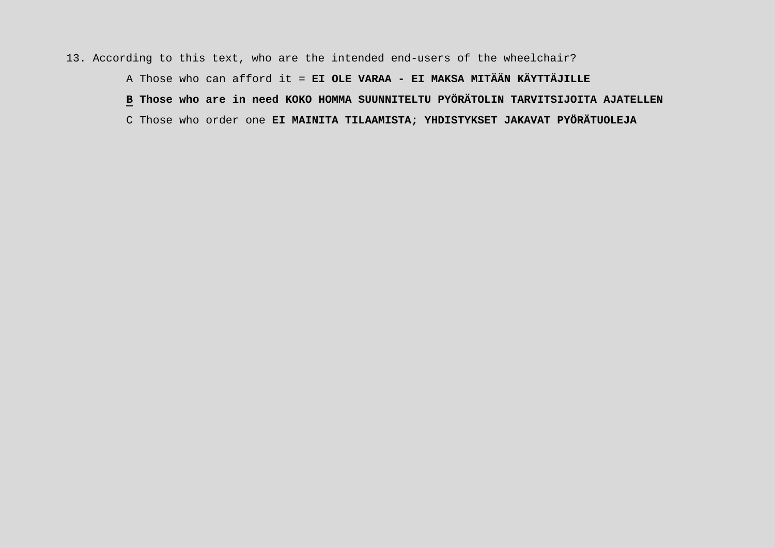## 13. According to this text, who are the intended end-users of the wheelchair?

A Those who can afford it = **EI OLE VARAA - EI MAKSA MITÄÄN KÄYTTÄJILLE**

**B Those who are in need KOKO HOMMA SUUNNITELTU PYÖRÄTOLIN TARVITSIJOITA AJATELLEN**

C Those who order one **EI MAINITA TILAAMISTA; YHDISTYKSET JAKAVAT PYÖRÄTUOLEJA**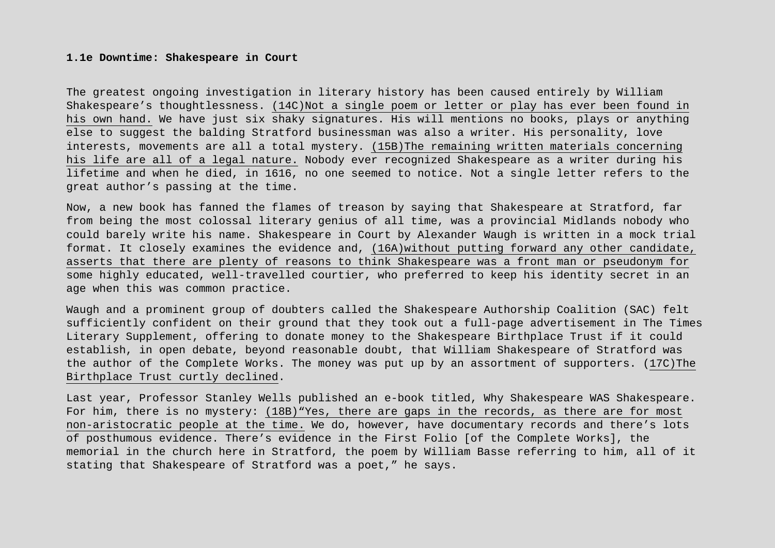### **1.1e Downtime: Shakespeare in Court**

The greatest ongoing investigation in literary history has been caused entirely by William Shakespeare's thoughtlessness. (14C)Not a single poem or letter or play has ever been found in his own hand. We have just six shaky signatures. His will mentions no books, plays or anything else to suggest the balding Stratford businessman was also a writer. His personality, love interests, movements are all a total mystery. (15B)The remaining written materials concerning his life are all of a legal nature. Nobody ever recognized Shakespeare as a writer during his lifetime and when he died, in 1616, no one seemed to notice. Not a single letter refers to the great author's passing at the time.

Now, a new book has fanned the flames of treason by saying that Shakespeare at Stratford, far from being the most colossal literary genius of all time, was a provincial Midlands nobody who could barely write his name. Shakespeare in Court by Alexander Waugh is written in a mock trial format. It closely examines the evidence and, (16A)without putting forward any other candidate, asserts that there are plenty of reasons to think Shakespeare was a front man or pseudonym for some highly educated, well-travelled courtier, who preferred to keep his identity secret in an age when this was common practice.

Waugh and a prominent group of doubters called the Shakespeare Authorship Coalition (SAC) felt sufficiently confident on their ground that they took out a full-page advertisement in The Times Literary Supplement, offering to donate money to the Shakespeare Birthplace Trust if it could establish, in open debate, beyond reasonable doubt, that William Shakespeare of Stratford was the author of the Complete Works. The money was put up by an assortment of supporters. (17C)The Birthplace Trust curtly declined.

Last year, Professor Stanley Wells published an e-book titled, Why Shakespeare WAS Shakespeare. For him, there is no mystery: (18B)"Yes, there are gaps in the records, as there are for most non-aristocratic people at the time. We do, however, have documentary records and there's lots of posthumous evidence. There's evidence in the First Folio [of the Complete Works], the memorial in the church here in Stratford, the poem by William Basse referring to him, all of it stating that Shakespeare of Stratford was a poet," he says.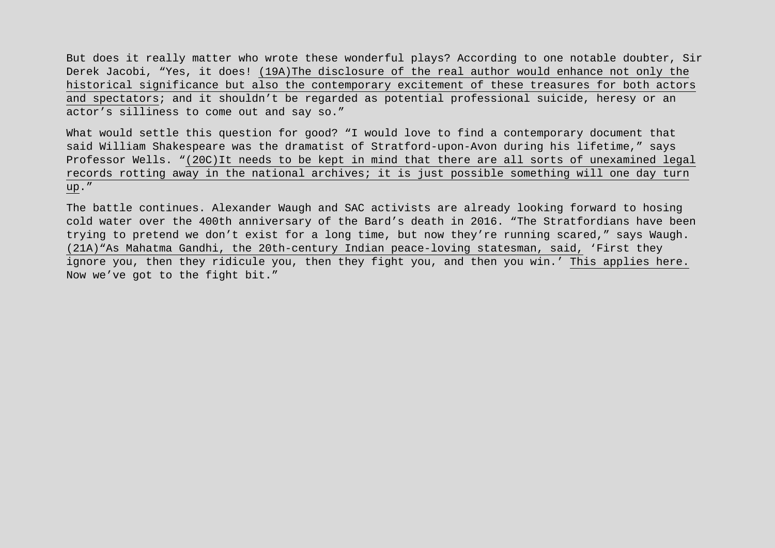But does it really matter who wrote these wonderful plays? According to one notable doubter, Sir Derek Jacobi, "Yes, it does! (19A)The disclosure of the real author would enhance not only the historical significance but also the contemporary excitement of these treasures for both actors and spectators; and it shouldn't be regarded as potential professional suicide, heresy or an actor's silliness to come out and say so."

What would settle this question for good? "I would love to find a contemporary document that said William Shakespeare was the dramatist of Stratford-upon-Avon during his lifetime," says Professor Wells. "(20C)It needs to be kept in mind that there are all sorts of unexamined legal records rotting away in the national archives; it is just possible something will one day turn up."

The battle continues. Alexander Waugh and SAC activists are already looking forward to hosing cold water over the 400th anniversary of the Bard's death in 2016. "The Stratfordians have been trying to pretend we don't exist for a long time, but now they're running scared," says Waugh. (21A)"As Mahatma Gandhi, the 20th-century Indian peace-loving statesman, said, 'First they ignore you, then they ridicule you, then they fight you, and then you win.' This applies here. Now we've got to the fight bit."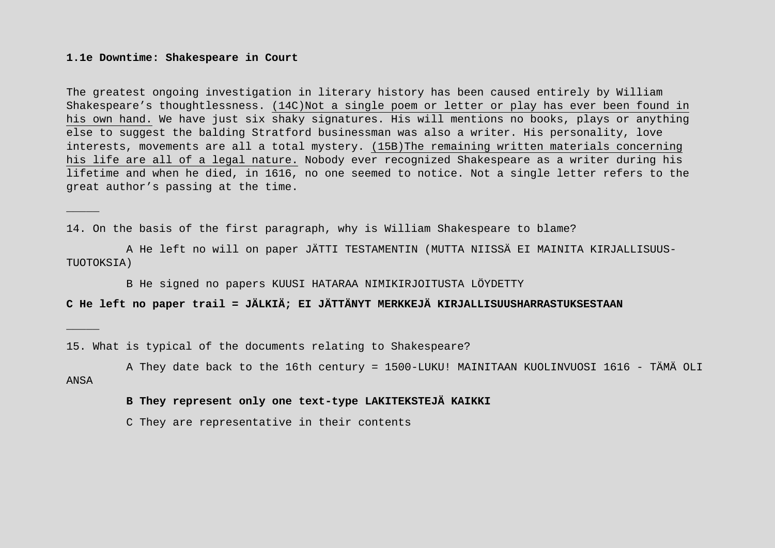### **1.1e Downtime: Shakespeare in Court**

\_\_\_\_\_

\_\_\_\_\_

The greatest ongoing investigation in literary history has been caused entirely by William Shakespeare's thoughtlessness. (14C)Not a single poem or letter or play has ever been found in his own hand. We have just six shaky signatures. His will mentions no books, plays or anything else to suggest the balding Stratford businessman was also a writer. His personality, love interests, movements are all a total mystery. (15B)The remaining written materials concerning his life are all of a legal nature. Nobody ever recognized Shakespeare as a writer during his lifetime and when he died, in 1616, no one seemed to notice. Not a single letter refers to the great author's passing at the time.

14. On the basis of the first paragraph, why is William Shakespeare to blame?

A He left no will on paper JÄTTI TESTAMENTIN (MUTTA NIISSÄ EI MAINITA KIRJALLISUUS-TUOTOKSIA)

B He signed no papers KUUSI HATARAA NIMIKIRJOITUSTA LÖYDETTY

**C He left no paper trail = JÄLKIÄ; EI JÄTTÄNYT MERKKEJÄ KIRJALLISUUSHARRASTUKSESTAAN**

15. What is typical of the documents relating to Shakespeare?

A They date back to the 16th century = 1500-LUKU! MAINITAAN KUOLINVUOSI 1616 - TÄMÄ OLI ANSA

# **B They represent only one text-type LAKITEKSTEJÄ KAIKKI**

C They are representative in their contents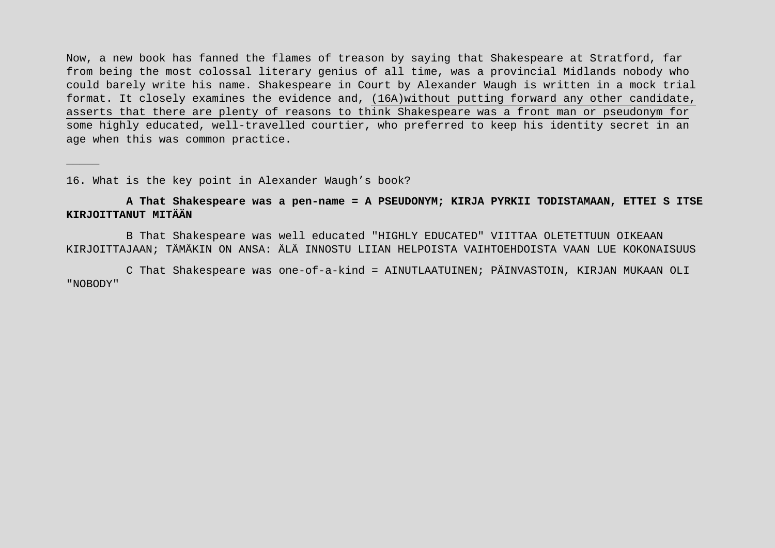Now, a new book has fanned the flames of treason by saying that Shakespeare at Stratford, far from being the most colossal literary genius of all time, was a provincial Midlands nobody who could barely write his name. Shakespeare in Court by Alexander Waugh is written in a mock trial format. It closely examines the evidence and, (16A)without putting forward any other candidate, asserts that there are plenty of reasons to think Shakespeare was a front man or pseudonym for some highly educated, well-travelled courtier, who preferred to keep his identity secret in an age when this was common practice.

16. What is the key point in Alexander Waugh's book?

\_\_\_\_\_

# **A That Shakespeare was a pen-name = A PSEUDONYM; KIRJA PYRKII TODISTAMAAN, ETTEI S ITSE KIRJOITTANUT MITÄÄN**

B That Shakespeare was well educated "HIGHLY EDUCATED" VIITTAA OLETETTUUN OIKEAAN KIRJOITTAJAAN; TÄMÄKIN ON ANSA: ÄLÄ INNOSTU LIIAN HELPOISTA VAIHTOEHDOISTA VAAN LUE KOKONAISUUS

C That Shakespeare was one-of-a-kind = AINUTLAATUINEN; PÄINVASTOIN, KIRJAN MUKAAN OLI "NOBODY"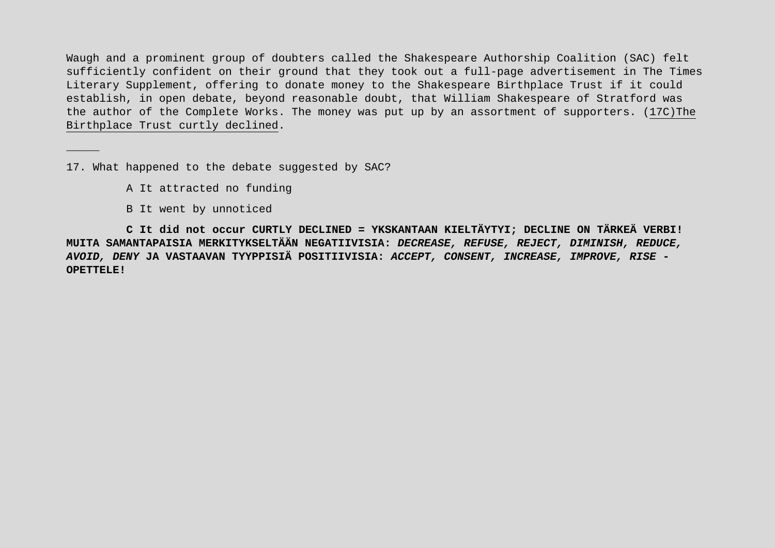Waugh and a prominent group of doubters called the Shakespeare Authorship Coalition (SAC) felt sufficiently confident on their ground that they took out a full-page advertisement in The Times Literary Supplement, offering to donate money to the Shakespeare Birthplace Trust if it could establish, in open debate, beyond reasonable doubt, that William Shakespeare of Stratford was the author of the Complete Works. The money was put up by an assortment of supporters. (17C)The Birthplace Trust curtly declined.

17. What happened to the debate suggested by SAC?

A It attracted no funding

B It went by unnoticed

\_\_\_\_\_

**C It did not occur CURTLY DECLINED = YKSKANTAAN KIELTÄYTYI; DECLINE ON TÄRKEÄ VERBI! MUITA SAMANTAPAISIA MERKITYKSELTÄÄN NEGATIIVISIA:** *DECREASE, REFUSE, REJECT, DIMINISH, REDUCE, AVOID, DENY* **JA VASTAAVAN TYYPPISIÄ POSITIIVISIA:** *ACCEPT, CONSENT, INCREASE, IMPROVE, RISE* **- OPETTELE!**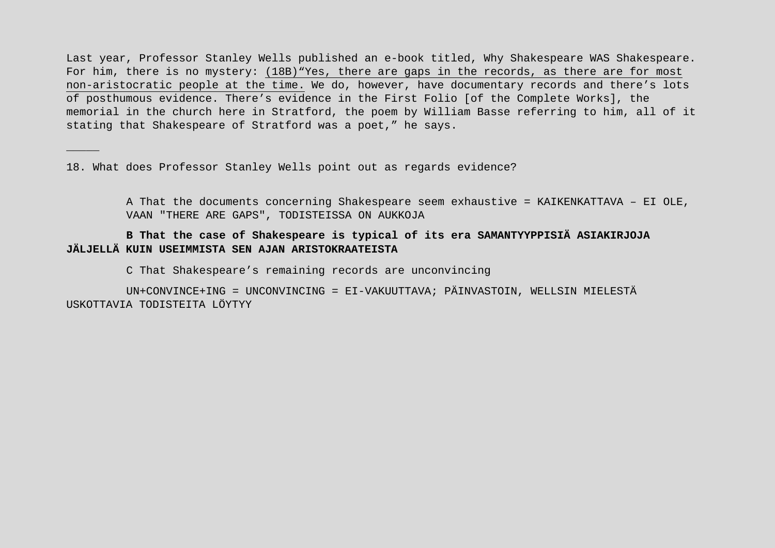Last year, Professor Stanley Wells published an e-book titled, Why Shakespeare WAS Shakespeare. For him, there is no mystery: (18B)"Yes, there are gaps in the records, as there are for most non-aristocratic people at the time. We do, however, have documentary records and there's lots of posthumous evidence. There's evidence in the First Folio [of the Complete Works], the memorial in the church here in Stratford, the poem by William Basse referring to him, all of it stating that Shakespeare of Stratford was a poet," he says.

18. What does Professor Stanley Wells point out as regards evidence?

\_\_\_\_\_

A That the documents concerning Shakespeare seem exhaustive = KAIKENKATTAVA – EI OLE, VAAN "THERE ARE GAPS", TODISTEISSA ON AUKKOJA

# **B That the case of Shakespeare is typical of its era SAMANTYYPPISIÄ ASIAKIRJOJA JÄLJELLÄ KUIN USEIMMISTA SEN AJAN ARISTOKRAATEISTA**

C That Shakespeare's remaining records are unconvincing

UN+CONVINCE+ING = UNCONVINCING = EI-VAKUUTTAVA; PÄINVASTOIN, WELLSIN MIELESTÄ USKOTTAVIA TODISTEITA LÖYTYY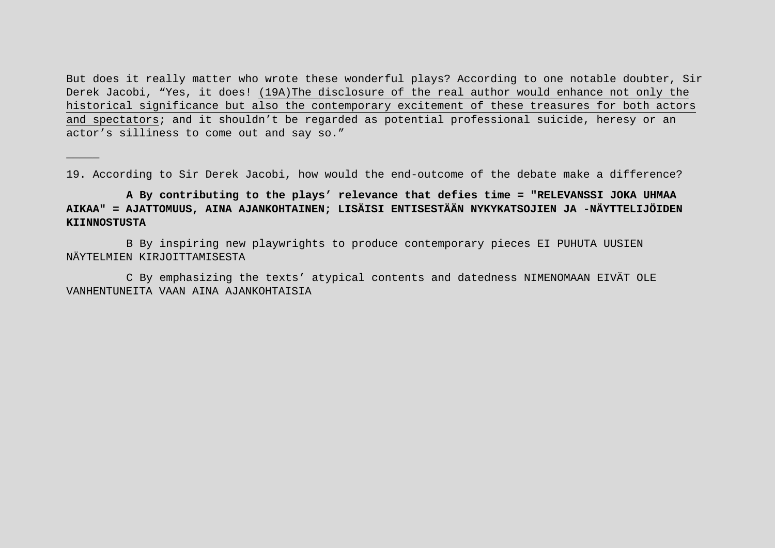But does it really matter who wrote these wonderful plays? According to one notable doubter, Sir Derek Jacobi, "Yes, it does! (19A)The disclosure of the real author would enhance not only the historical significance but also the contemporary excitement of these treasures for both actors and spectators; and it shouldn't be regarded as potential professional suicide, heresy or an actor's silliness to come out and say so."

19. According to Sir Derek Jacobi, how would the end-outcome of the debate make a difference?

# **A By contributing to the plays' relevance that defies time = "RELEVANSSI JOKA UHMAA AIKAA" = AJATTOMUUS, AINA AJANKOHTAINEN; LISÄISI ENTISESTÄÄN NYKYKATSOJIEN JA -NÄYTTELIJÖIDEN KIINNOSTUSTA**

B By inspiring new playwrights to produce contemporary pieces EI PUHUTA UUSIEN NÄYTELMIEN KIRJOITTAMISESTA

\_\_\_\_\_

C By emphasizing the texts' atypical contents and datedness NIMENOMAAN EIVÄT OLE VANHENTUNEITA VAAN AINA AJANKOHTAISIA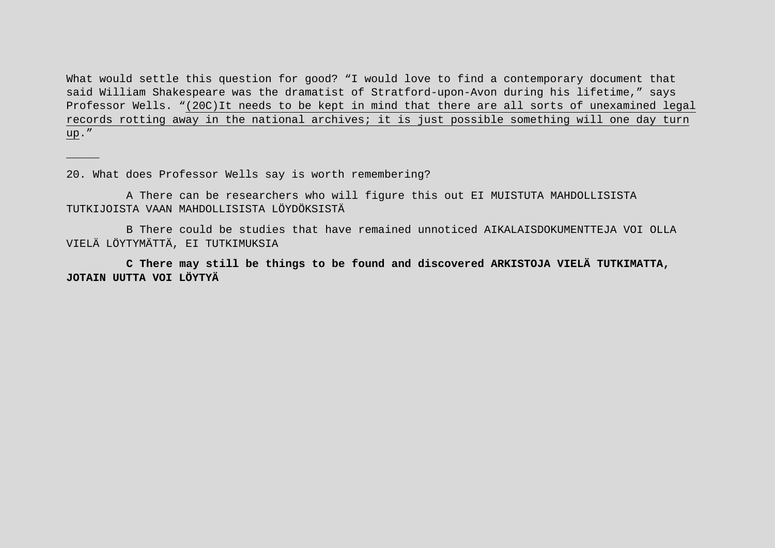What would settle this question for good? "I would love to find a contemporary document that said William Shakespeare was the dramatist of Stratford-upon-Avon during his lifetime," says Professor Wells. "(20C)It needs to be kept in mind that there are all sorts of unexamined legal records rotting away in the national archives; it is just possible something will one day turn up."

20. What does Professor Wells say is worth remembering?

\_\_\_\_\_

A There can be researchers who will figure this out EI MUISTUTA MAHDOLLISISTA TUTKIJOISTA VAAN MAHDOLLISISTA LÖYDÖKSISTÄ

B There could be studies that have remained unnoticed AIKALAISDOKUMENTTEJA VOI OLLA VIELÄ LÖYTYMÄTTÄ, EI TUTKIMUKSIA

**C There may still be things to be found and discovered ARKISTOJA VIELÄ TUTKIMATTA, JOTAIN UUTTA VOI LÖYTYÄ**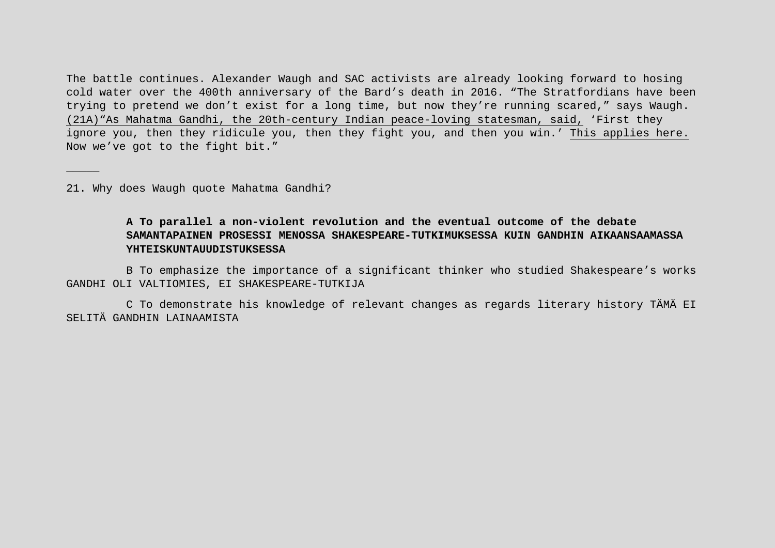The battle continues. Alexander Waugh and SAC activists are already looking forward to hosing cold water over the 400th anniversary of the Bard's death in 2016. "The Stratfordians have been trying to pretend we don't exist for a long time, but now they're running scared," says Waugh. (21A)"As Mahatma Gandhi, the 20th-century Indian peace-loving statesman, said, 'First they ignore you, then they ridicule you, then they fight you, and then you win.' This applies here. Now we've got to the fight bit."

21. Why does Waugh quote Mahatma Gandhi?

\_\_\_\_\_

# **A To parallel a non-violent revolution and the eventual outcome of the debate SAMANTAPAINEN PROSESSI MENOSSA SHAKESPEARE-TUTKIMUKSESSA KUIN GANDHIN AIKAANSAAMASSA YHTEISKUNTAUUDISTUKSESSA**

B To emphasize the importance of a significant thinker who studied Shakespeare's works GANDHI OLI VALTIOMIES, EI SHAKESPEARE-TUTKIJA

C To demonstrate his knowledge of relevant changes as regards literary history TÄMÄ EI SELITÄ GANDHIN LAINAAMISTA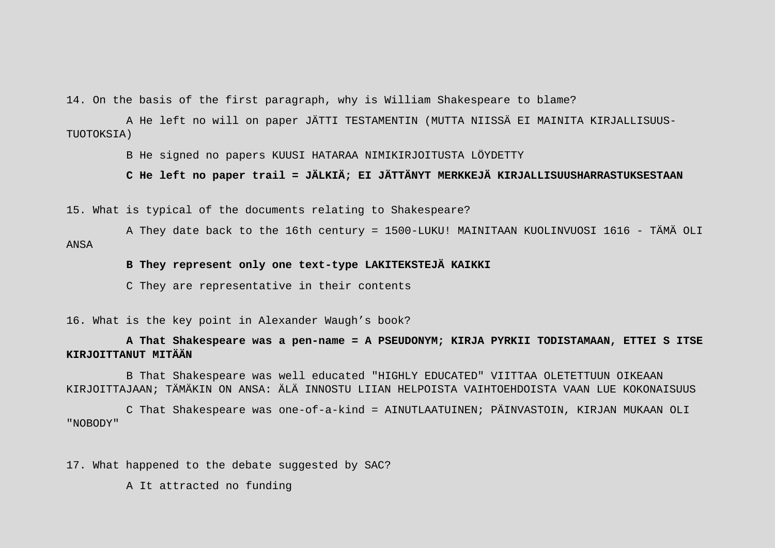14. On the basis of the first paragraph, why is William Shakespeare to blame?

A He left no will on paper JÄTTI TESTAMENTIN (MUTTA NIISSÄ EI MAINITA KIRJALLISUUS-TUOTOKSIA)

B He signed no papers KUUSI HATARAA NIMIKIRJOITUSTA LÖYDETTY

**C He left no paper trail = JÄLKIÄ; EI JÄTTÄNYT MERKKEJÄ KIRJALLISUUSHARRASTUKSESTAAN**

15. What is typical of the documents relating to Shakespeare?

A They date back to the 16th century = 1500-LUKU! MAINITAAN KUOLINVUOSI 1616 - TÄMÄ OLI ANSA

## **B They represent only one text-type LAKITEKSTEJÄ KAIKKI**

C They are representative in their contents

16. What is the key point in Alexander Waugh's book?

**A That Shakespeare was a pen-name = A PSEUDONYM; KIRJA PYRKII TODISTAMAAN, ETTEI S ITSE KIRJOITTANUT MITÄÄN**

B That Shakespeare was well educated "HIGHLY EDUCATED" VIITTAA OLETETTUUN OIKEAAN KIRJOITTAJAAN; TÄMÄKIN ON ANSA: ÄLÄ INNOSTU LIIAN HELPOISTA VAIHTOEHDOISTA VAAN LUE KOKONAISUUS

C That Shakespeare was one-of-a-kind = AINUTLAATUINEN; PÄINVASTOIN, KIRJAN MUKAAN OLI "NOBODY"

17. What happened to the debate suggested by SAC?

A It attracted no funding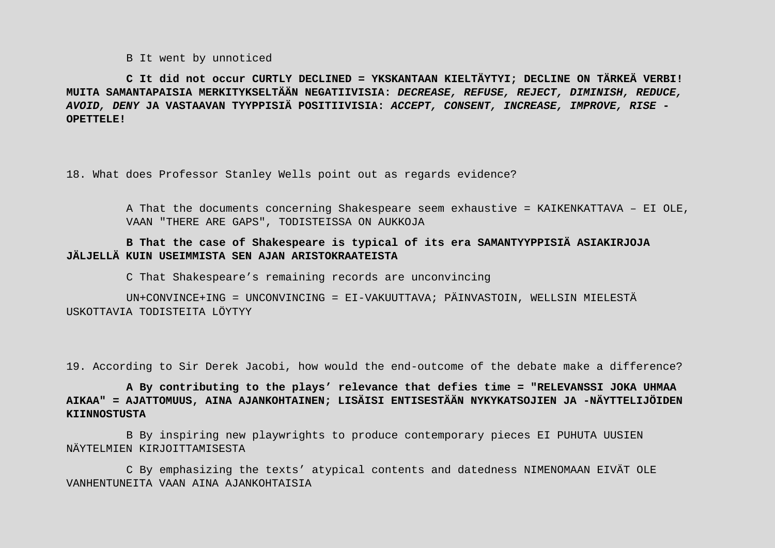B It went by unnoticed

**C It did not occur CURTLY DECLINED = YKSKANTAAN KIELTÄYTYI; DECLINE ON TÄRKEÄ VERBI! MUITA SAMANTAPAISIA MERKITYKSELTÄÄN NEGATIIVISIA:** *DECREASE, REFUSE, REJECT, DIMINISH, REDUCE, AVOID, DENY* **JA VASTAAVAN TYYPPISIÄ POSITIIVISIA:** *ACCEPT, CONSENT, INCREASE, IMPROVE, RISE* **- OPETTELE!** 

18. What does Professor Stanley Wells point out as regards evidence?

A That the documents concerning Shakespeare seem exhaustive = KAIKENKATTAVA – EI OLE, VAAN "THERE ARE GAPS", TODISTEISSA ON AUKKOJA

# **B That the case of Shakespeare is typical of its era SAMANTYYPPISIÄ ASIAKIRJOJA JÄLJELLÄ KUIN USEIMMISTA SEN AJAN ARISTOKRAATEISTA**

C That Shakespeare's remaining records are unconvincing

UN+CONVINCE+ING = UNCONVINCING = EI-VAKUUTTAVA; PÄINVASTOIN, WELLSIN MIELESTÄ USKOTTAVIA TODISTEITA LÖYTYY

19. According to Sir Derek Jacobi, how would the end-outcome of the debate make a difference?

**A By contributing to the plays' relevance that defies time = "RELEVANSSI JOKA UHMAA AIKAA" = AJATTOMUUS, AINA AJANKOHTAINEN; LISÄISI ENTISESTÄÄN NYKYKATSOJIEN JA -NÄYTTELIJÖIDEN KIINNOSTUSTA** 

B By inspiring new playwrights to produce contemporary pieces EI PUHUTA UUSIEN NÄYTELMIEN KIRJOITTAMISESTA

C By emphasizing the texts' atypical contents and datedness NIMENOMAAN EIVÄT OLE VANHENTUNEITA VAAN AINA AJANKOHTAISIA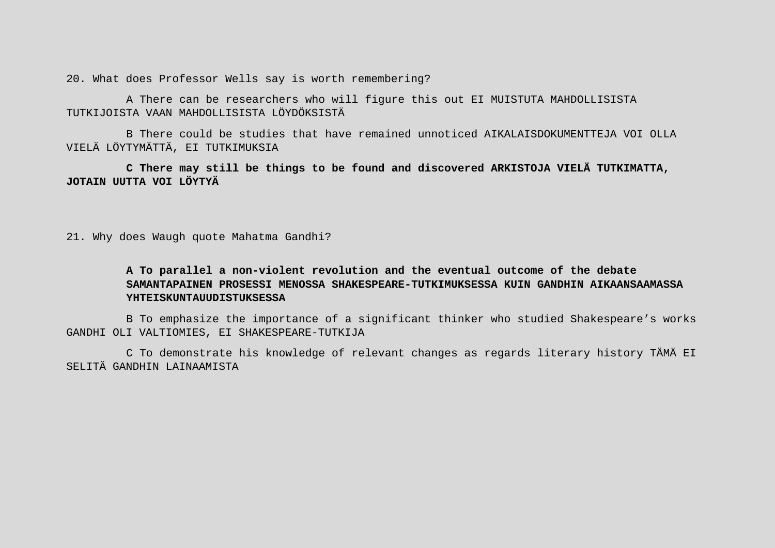20. What does Professor Wells say is worth remembering?

A There can be researchers who will figure this out EI MUISTUTA MAHDOLLISISTA TUTKIJOISTA VAAN MAHDOLLISISTA LÖYDÖKSISTÄ

B There could be studies that have remained unnoticed AIKALAISDOKUMENTTEJA VOI OLLA VIELÄ LÖYTYMÄTTÄ, EI TUTKIMUKSIA

**C There may still be things to be found and discovered ARKISTOJA VIELÄ TUTKIMATTA, JOTAIN UUTTA VOI LÖYTYÄ**

21. Why does Waugh quote Mahatma Gandhi?

# **A To parallel a non-violent revolution and the eventual outcome of the debate SAMANTAPAINEN PROSESSI MENOSSA SHAKESPEARE-TUTKIMUKSESSA KUIN GANDHIN AIKAANSAAMASSA YHTEISKUNTAUUDISTUKSESSA**

B To emphasize the importance of a significant thinker who studied Shakespeare's works GANDHI OLI VALTIOMIES, EI SHAKESPEARE-TUTKIJA

C To demonstrate his knowledge of relevant changes as regards literary history TÄMÄ EI SELITÄ GANDHIN LAINAAMISTA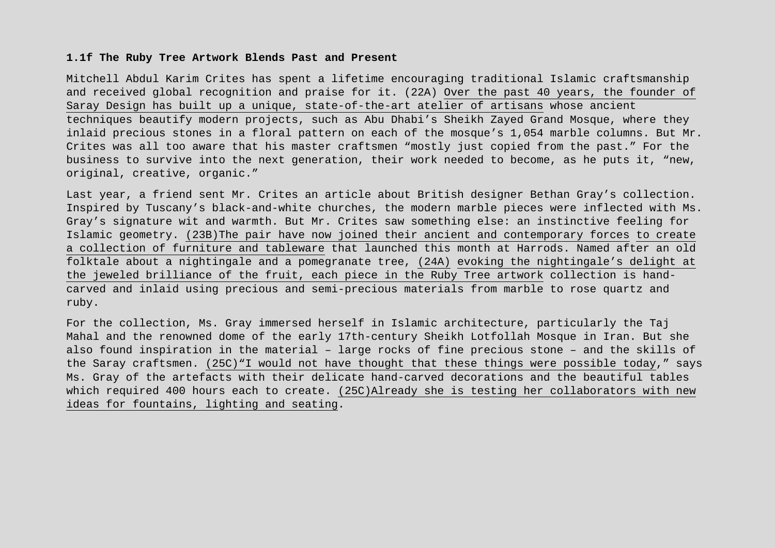### **1.1f The Ruby Tree Artwork Blends Past and Present**

Mitchell Abdul Karim Crites has spent a lifetime encouraging traditional Islamic craftsmanship and received global recognition and praise for it. (22A) Over the past 40 years, the founder of Saray Design has built up a unique, state-of-the-art atelier of artisans whose ancient techniques beautify modern projects, such as Abu Dhabi's Sheikh Zayed Grand Mosque, where they inlaid precious stones in a floral pattern on each of the mosque's 1,054 marble columns. But Mr. Crites was all too aware that his master craftsmen "mostly just copied from the past." For the business to survive into the next generation, their work needed to become, as he puts it, "new, original, creative, organic."

Last year, a friend sent Mr. Crites an article about British designer Bethan Gray's collection. Inspired by Tuscany's black-and-white churches, the modern marble pieces were inflected with Ms. Gray's signature wit and warmth. But Mr. Crites saw something else: an instinctive feeling for Islamic geometry. (23B)The pair have now joined their ancient and contemporary forces to create a collection of furniture and tableware that launched this month at Harrods. Named after an old folktale about a nightingale and a pomegranate tree, (24A) evoking the nightingale's delight at the jeweled brilliance of the fruit, each piece in the Ruby Tree artwork collection is handcarved and inlaid using precious and semi-precious materials from marble to rose quartz and ruby.

For the collection, Ms. Gray immersed herself in Islamic architecture, particularly the Taj Mahal and the renowned dome of the early 17th-century Sheikh Lotfollah Mosque in Iran. But she also found inspiration in the material – large rocks of fine precious stone – and the skills of the Saray craftsmen. (25C)"I would not have thought that these things were possible today," says Ms. Gray of the artefacts with their delicate hand-carved decorations and the beautiful tables which required 400 hours each to create. (25C)Already she is testing her collaborators with new ideas for fountains, lighting and seating.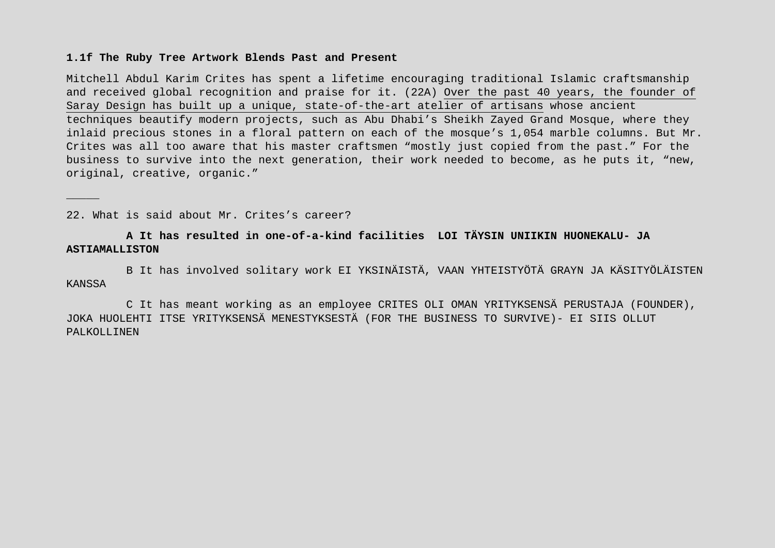### **1.1f The Ruby Tree Artwork Blends Past and Present**

Mitchell Abdul Karim Crites has spent a lifetime encouraging traditional Islamic craftsmanship and received global recognition and praise for it. (22A) Over the past 40 years, the founder of Saray Design has built up a unique, state-of-the-art atelier of artisans whose ancient techniques beautify modern projects, such as Abu Dhabi's Sheikh Zayed Grand Mosque, where they inlaid precious stones in a floral pattern on each of the mosque's 1,054 marble columns. But Mr. Crites was all too aware that his master craftsmen "mostly just copied from the past." For the business to survive into the next generation, their work needed to become, as he puts it, "new, original, creative, organic."

22. What is said about Mr. Crites's career?

\_\_\_\_\_

# **A It has resulted in one-of-a-kind facilities LOI TÄYSIN UNIIKIN HUONEKALU- JA ASTIAMALLISTON**

B It has involved solitary work EI YKSINÄISTÄ, VAAN YHTEISTYÖTÄ GRAYN JA KÄSITYÖLÄISTEN KANSSA

C It has meant working as an employee CRITES OLI OMAN YRITYKSENSÄ PERUSTAJA (FOUNDER), JOKA HUOLEHTI ITSE YRITYKSENSÄ MENESTYKSESTÄ (FOR THE BUSINESS TO SURVIVE)- EI SIIS OLLUT PALKOLLINEN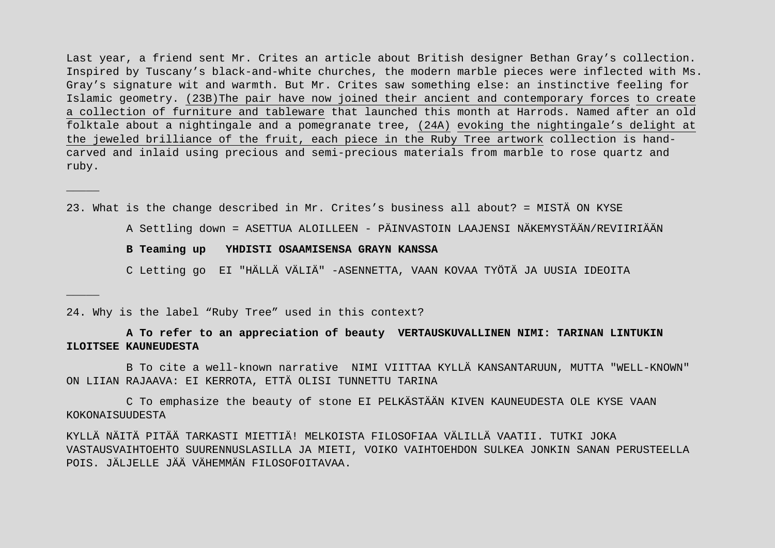Last year, a friend sent Mr. Crites an article about British designer Bethan Gray's collection. Inspired by Tuscany's black-and-white churches, the modern marble pieces were inflected with Ms. Gray's signature wit and warmth. But Mr. Crites saw something else: an instinctive feeling for Islamic geometry. (23B)The pair have now joined their ancient and contemporary forces to create a collection of furniture and tableware that launched this month at Harrods. Named after an old folktale about a nightingale and a pomegranate tree, (24A) evoking the nightingale's delight at the jeweled brilliance of the fruit, each piece in the Ruby Tree artwork collection is handcarved and inlaid using precious and semi-precious materials from marble to rose quartz and ruby.

23. What is the change described in Mr. Crites's business all about? = MISTÄ ON KYSE

A Settling down = ASETTUA ALOILLEEN - PÄINVASTOIN LAAJENSI NÄKEMYSTÄÄN/REVIIRIÄÄN

### **B Teaming up YHDISTI OSAAMISENSA GRAYN KANSSA**

C Letting go EI "HÄLLÄ VÄLIÄ" -ASENNETTA, VAAN KOVAA TYÖTÄ JA UUSIA IDEOITA

24. Why is the label "Ruby Tree" used in this context?

\_\_\_\_\_

\_\_\_\_\_

**A To refer to an appreciation of beauty VERTAUSKUVALLINEN NIMI: TARINAN LINTUKIN ILOITSEE KAUNEUDESTA**

B To cite a well-known narrative NIMI VIITTAA KYLLÄ KANSANTARUUN, MUTTA "WELL-KNOWN" ON LIIAN RAJAAVA: EI KERROTA, ETTÄ OLISI TUNNETTU TARINA

C To emphasize the beauty of stone EI PELKÄSTÄÄN KIVEN KAUNEUDESTA OLE KYSE VAAN KOKONAISUUDESTA

KYLLÄ NÄITÄ PITÄÄ TARKASTI MIETTIÄ! MELKOISTA FILOSOFIAA VÄLILLÄ VAATII. TUTKI JOKA VASTAUSVAIHTOEHTO SUURENNUSLASILLA JA MIETI, VOIKO VAIHTOEHDON SULKEA JONKIN SANAN PERUSTEELLA POIS. JÄLJELLE JÄÄ VÄHEMMÄN FILOSOFOITAVAA.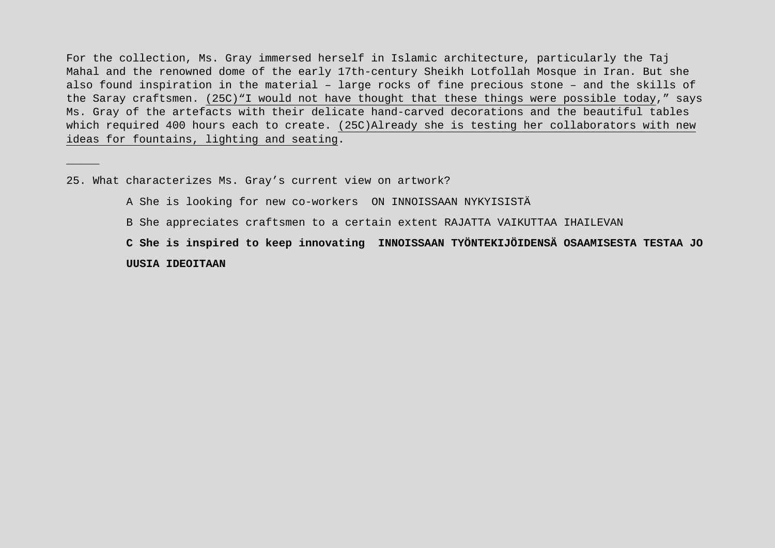For the collection, Ms. Gray immersed herself in Islamic architecture, particularly the Taj Mahal and the renowned dome of the early 17th-century Sheikh Lotfollah Mosque in Iran. But she also found inspiration in the material – large rocks of fine precious stone – and the skills of the Saray craftsmen. (25C)"I would not have thought that these things were possible today," says Ms. Gray of the artefacts with their delicate hand-carved decorations and the beautiful tables which required 400 hours each to create. (25C)Already she is testing her collaborators with new ideas for fountains, lighting and seating.

25. What characterizes Ms. Gray's current view on artwork?

\_\_\_\_\_

A She is looking for new co-workers ON INNOISSAAN NYKYISISTÄ

B She appreciates craftsmen to a certain extent RAJATTA VAIKUTTAA IHAILEVAN

**C She is inspired to keep innovating INNOISSAAN TYÖNTEKIJÖIDENSÄ OSAAMISESTA TESTAA JO UUSIA IDEOITAAN**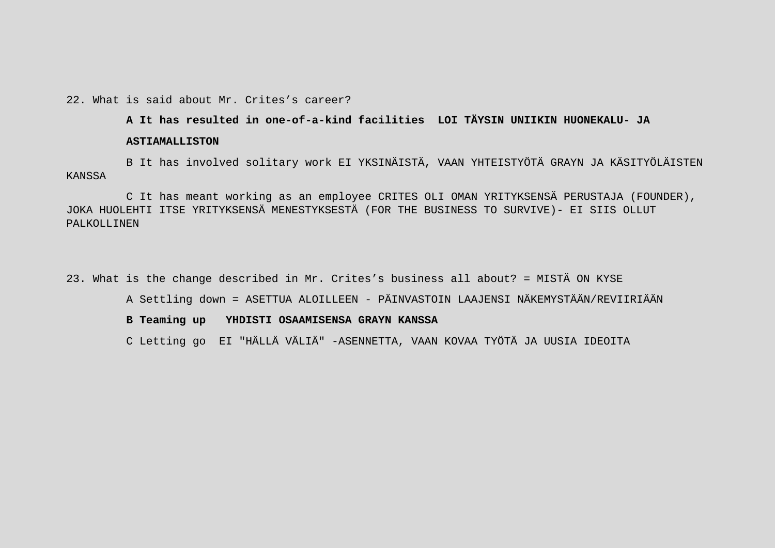## 22. What is said about Mr. Crites's career?

## **A It has resulted in one-of-a-kind facilities LOI TÄYSIN UNIIKIN HUONEKALU- JA**

#### **ASTIAMALLISTON**

B It has involved solitary work EI YKSINÄISTÄ, VAAN YHTEISTYÖTÄ GRAYN JA KÄSITYÖLÄISTEN KANSSA

C It has meant working as an employee CRITES OLI OMAN YRITYKSENSÄ PERUSTAJA (FOUNDER), JOKA HUOLEHTI ITSE YRITYKSENSÄ MENESTYKSESTÄ (FOR THE BUSINESS TO SURVIVE)- EI SIIS OLLUT PALKOLLINEN

23. What is the change described in Mr. Crites's business all about? = MISTÄ ON KYSE

A Settling down = ASETTUA ALOILLEEN - PÄINVASTOIN LAAJENSI NÄKEMYSTÄÄN/REVIIRIÄÄN

### **B Teaming up YHDISTI OSAAMISENSA GRAYN KANSSA**

C Letting go EI "HÄLLÄ VÄLIÄ" -ASENNETTA, VAAN KOVAA TYÖTÄ JA UUSIA IDEOITA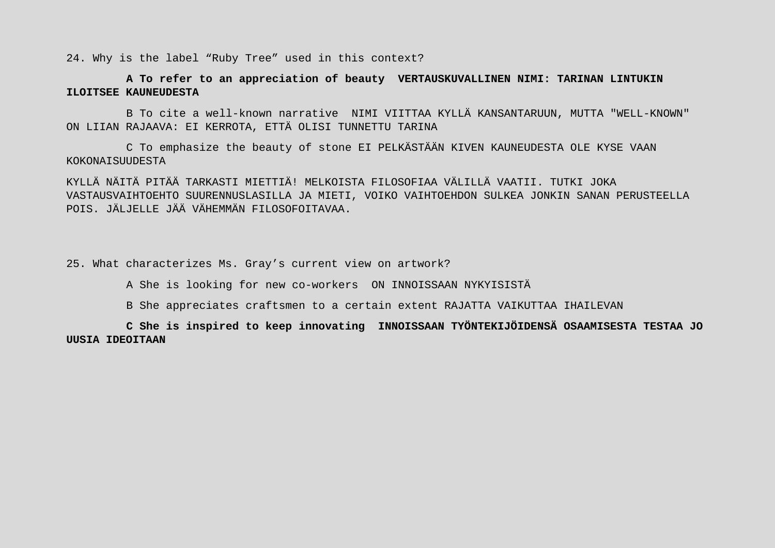24. Why is the label "Ruby Tree" used in this context?

# **A To refer to an appreciation of beauty VERTAUSKUVALLINEN NIMI: TARINAN LINTUKIN ILOITSEE KAUNEUDESTA**

B To cite a well-known narrative NIMI VIITTAA KYLLÄ KANSANTARUUN, MUTTA "WELL-KNOWN" ON LIIAN RAJAAVA: EI KERROTA, ETTÄ OLISI TUNNETTU TARINA

C To emphasize the beauty of stone EI PELKÄSTÄÄN KIVEN KAUNEUDESTA OLE KYSE VAAN KOKONAISUUDESTA

KYLLÄ NÄITÄ PITÄÄ TARKASTI MIETTIÄ! MELKOISTA FILOSOFIAA VÄLILLÄ VAATII. TUTKI JOKA VASTAUSVAIHTOEHTO SUURENNUSLASILLA JA MIETI, VOIKO VAIHTOEHDON SULKEA JONKIN SANAN PERUSTEELLA POIS. JÄLJELLE JÄÄ VÄHEMMÄN FILOSOFOITAVAA.

25. What characterizes Ms. Gray's current view on artwork?

A She is looking for new co-workers ON INNOISSAAN NYKYISISTÄ

B She appreciates craftsmen to a certain extent RAJATTA VAIKUTTAA IHAILEVAN

**C She is inspired to keep innovating INNOISSAAN TYÖNTEKIJÖIDENSÄ OSAAMISESTA TESTAA JO UUSIA IDEOITAAN**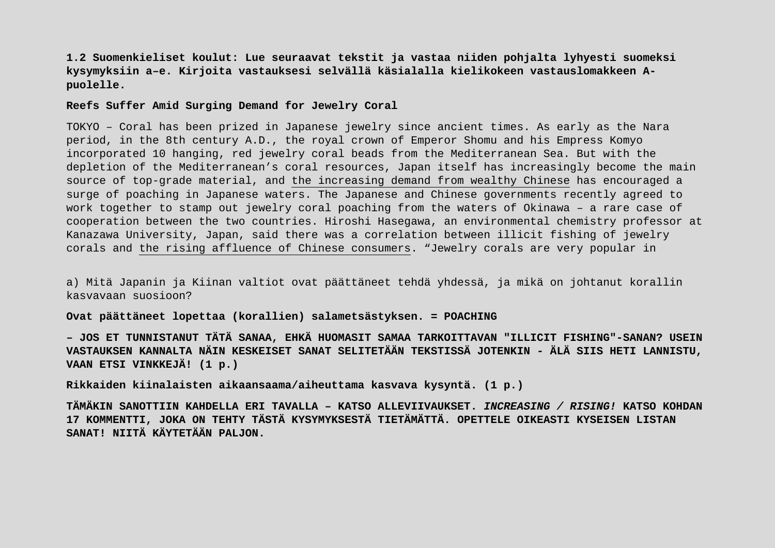**1.2 Suomenkieliset koulut: Lue seuraavat tekstit ja vastaa niiden pohjalta lyhyesti suomeksi kysymyksiin a–e. Kirjoita vastauksesi selvällä käsialalla kielikokeen vastauslomakkeen Apuolelle.**

### **Reefs Suffer Amid Surging Demand for Jewelry Coral**

TOKYO – Coral has been prized in Japanese jewelry since ancient times. As early as the Nara period, in the 8th century A.D., the royal crown of Emperor Shomu and his Empress Komyo incorporated 10 hanging, red jewelry coral beads from the Mediterranean Sea. But with the depletion of the Mediterranean's coral resources, Japan itself has increasingly become the main source of top-grade material, and the increasing demand from wealthy Chinese has encouraged a surge of poaching in Japanese waters. The Japanese and Chinese governments recently agreed to work together to stamp out jewelry coral poaching from the waters of Okinawa – a rare case of cooperation between the two countries. Hiroshi Hasegawa, an environmental chemistry professor at Kanazawa University, Japan, said there was a correlation between illicit fishing of jewelry corals and the rising affluence of Chinese consumers. "Jewelry corals are very popular in

a) Mitä Japanin ja Kiinan valtiot ovat päättäneet tehdä yhdessä, ja mikä on johtanut korallin kasvavaan suosioon?

**Ovat päättäneet lopettaa (korallien) salametsästyksen. = POACHING** 

**– JOS ET TUNNISTANUT TÄTÄ SANAA, EHKÄ HUOMASIT SAMAA TARKOITTAVAN "ILLICIT FISHING"-SANAN? USEIN VASTAUKSEN KANNALTA NÄIN KESKEISET SANAT SELITETÄÄN TEKSTISSÄ JOTENKIN - ÄLÄ SIIS HETI LANNISTU, VAAN ETSI VINKKEJÄ! (1 p.)**

**Rikkaiden kiinalaisten aikaansaama/aiheuttama kasvava kysyntä. (1 p.)** 

**TÄMÄKIN SANOTTIIN KAHDELLA ERI TAVALLA – KATSO ALLEVIIVAUKSET.** *INCREASING / RISING!* **KATSO KOHDAN 17 KOMMENTTI, JOKA ON TEHTY TÄSTÄ KYSYMYKSESTÄ TIETÄMÄTTÄ. OPETTELE OIKEASTI KYSEISEN LISTAN SANAT! NIITÄ KÄYTETÄÄN PALJON.**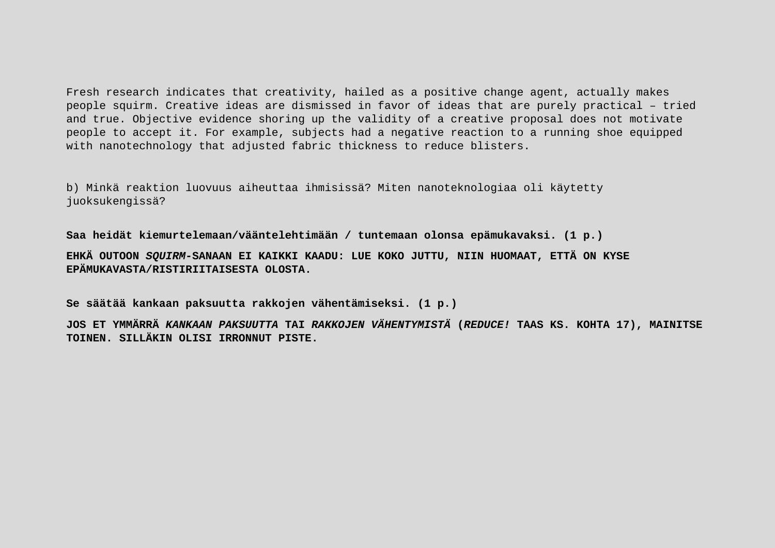Fresh research indicates that creativity, hailed as a positive change agent, actually makes people squirm. Creative ideas are dismissed in favor of ideas that are purely practical – tried and true. Objective evidence shoring up the validity of a creative proposal does not motivate people to accept it. For example, subjects had a negative reaction to a running shoe equipped with nanotechnology that adjusted fabric thickness to reduce blisters.

b) Minkä reaktion luovuus aiheuttaa ihmisissä? Miten nanoteknologiaa oli käytetty juoksukengissä?

**Saa heidät kiemurtelemaan/vääntelehtimään / tuntemaan olonsa epämukavaksi. (1 p.)**

**EHKÄ OUTOON** *SQUIRM***-SANAAN EI KAIKKI KAADU: LUE KOKO JUTTU, NIIN HUOMAAT, ETTÄ ON KYSE EPÄMUKAVASTA/RISTIRIITAISESTA OLOSTA.**

**Se säätää kankaan paksuutta rakkojen vähentämiseksi. (1 p.)**

**JOS ET YMMÄRRÄ** *KANKAAN PAKSUUTTA* **TAI** *RAKKOJEN VÄHENTYMISTÄ* **(***REDUCE!* **TAAS KS. KOHTA 17), MAINITSE TOINEN. SILLÄKIN OLISI IRRONNUT PISTE.**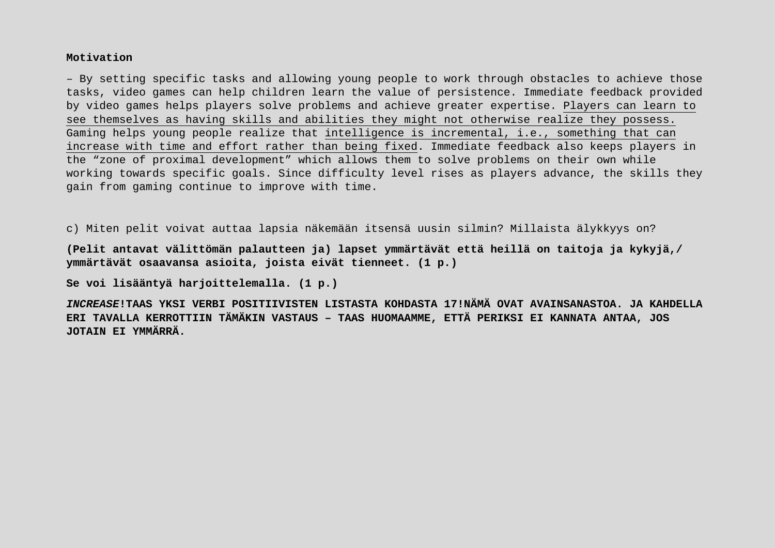## **Motivation**

– By setting specific tasks and allowing young people to work through obstacles to achieve those tasks, video games can help children learn the value of persistence. Immediate feedback provided by video games helps players solve problems and achieve greater expertise. Players can learn to see themselves as having skills and abilities they might not otherwise realize they possess. Gaming helps young people realize that intelligence is incremental, i.e., something that can increase with time and effort rather than being fixed. Immediate feedback also keeps players in the "zone of proximal development" which allows them to solve problems on their own while working towards specific goals. Since difficulty level rises as players advance, the skills they gain from gaming continue to improve with time.

c) Miten pelit voivat auttaa lapsia näkemään itsensä uusin silmin? Millaista älykkyys on?

**(Pelit antavat välittömän palautteen ja) lapset ymmärtävät että heillä on taitoja ja kykyjä,/ ymmärtävät osaavansa asioita, joista eivät tienneet. (1 p.)**

**Se voi lisääntyä harjoittelemalla. (1 p.)**

*INCREASE***!TAAS YKSI VERBI POSITIIVISTEN LISTASTA KOHDASTA 17!NÄMÄ OVAT AVAINSANASTOA. JA KAHDELLA ERI TAVALLA KERROTTIIN TÄMÄKIN VASTAUS – TAAS HUOMAAMME, ETTÄ PERIKSI EI KANNATA ANTAA, JOS JOTAIN EI YMMÄRRÄ.**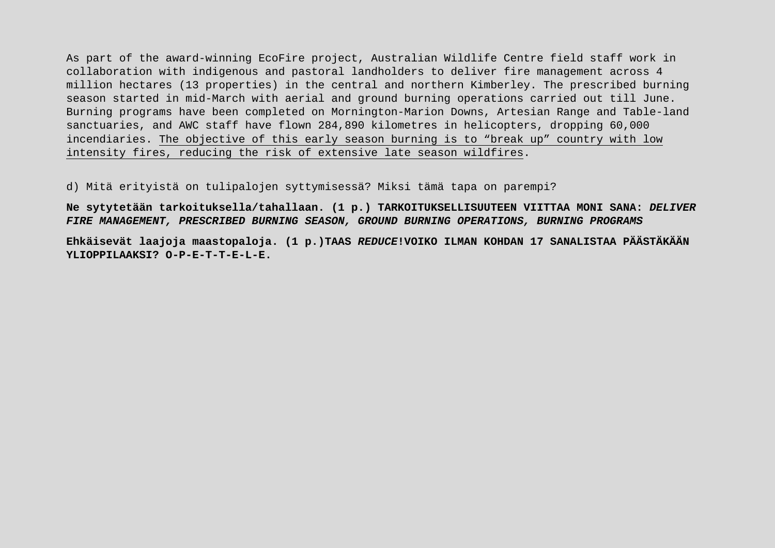As part of the award-winning EcoFire project, Australian Wildlife Centre field staff work in collaboration with indigenous and pastoral landholders to deliver fire management across 4 million hectares (13 properties) in the central and northern Kimberley. The prescribed burning season started in mid-March with aerial and ground burning operations carried out till June. Burning programs have been completed on Mornington-Marion Downs, Artesian Range and Table-land sanctuaries, and AWC staff have flown 284,890 kilometres in helicopters, dropping 60,000 incendiaries. The objective of this early season burning is to "break up" country with low intensity fires, reducing the risk of extensive late season wildfires.

d) Mitä erityistä on tulipalojen syttymisessä? Miksi tämä tapa on parempi?

**Ne sytytetään tarkoituksella/tahallaan. (1 p.) TARKOITUKSELLISUUTEEN VIITTAA MONI SANA:** *DELIVER FIRE MANAGEMENT, PRESCRIBED BURNING SEASON, GROUND BURNING OPERATIONS, BURNING PROGRAMS*

**Ehkäisevät laajoja maastopaloja. (1 p.)TAAS** *REDUCE***!VOIKO ILMAN KOHDAN 17 SANALISTAA PÄÄSTÄKÄÄN YLIOPPILAAKSI? O-P-E-T-T-E-L-E.**